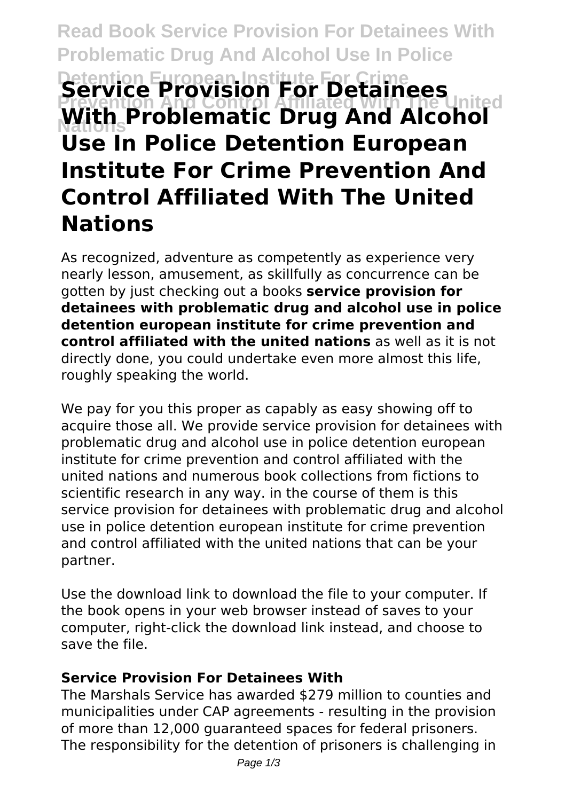# **Read Book Service Provision For Detainees With Problematic Drug And Alcohol Use In Police Detention European Institute For Detainees Prevention And Control Affiliated With The United Nations With Problematic Drug And Alcohol Use In Police Detention European Institute For Crime Prevention And Control Affiliated With The United Nations**

As recognized, adventure as competently as experience very nearly lesson, amusement, as skillfully as concurrence can be gotten by just checking out a books **service provision for detainees with problematic drug and alcohol use in police detention european institute for crime prevention and control affiliated with the united nations** as well as it is not directly done, you could undertake even more almost this life, roughly speaking the world.

We pay for you this proper as capably as easy showing off to acquire those all. We provide service provision for detainees with problematic drug and alcohol use in police detention european institute for crime prevention and control affiliated with the united nations and numerous book collections from fictions to scientific research in any way. in the course of them is this service provision for detainees with problematic drug and alcohol use in police detention european institute for crime prevention and control affiliated with the united nations that can be your partner.

Use the download link to download the file to your computer. If the book opens in your web browser instead of saves to your computer, right-click the download link instead, and choose to save the file.

#### **Service Provision For Detainees With**

The Marshals Service has awarded \$279 million to counties and municipalities under CAP agreements - resulting in the provision of more than 12,000 guaranteed spaces for federal prisoners. The responsibility for the detention of prisoners is challenging in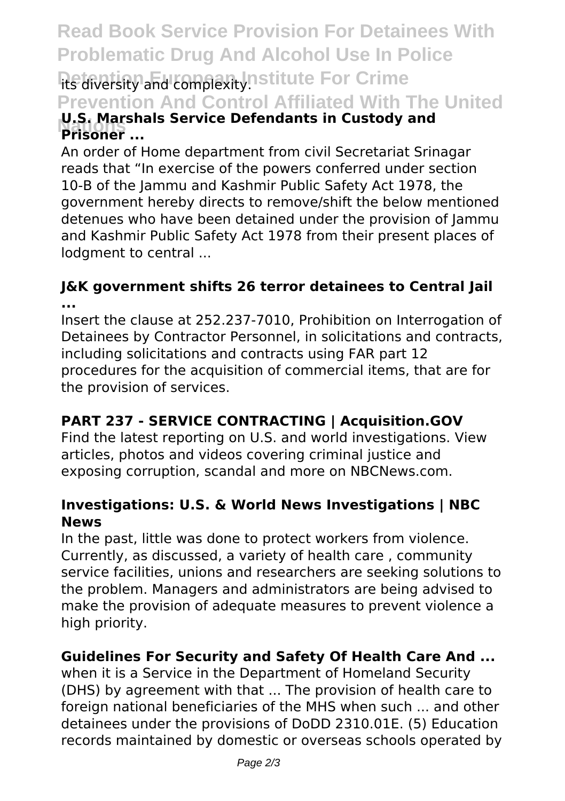# **Read Book Service Provision For Detainees With Problematic Drug And Alcohol Use In Police** its diversity and complexity. **District For Crime**

**Prevention And Control Affiliated With The United**

### **Prisoner** ... **U.S. Marshals Service Defendants in Custody and**

An order of Home department from civil Secretariat Srinagar reads that "In exercise of the powers conferred under section 10-B of the Jammu and Kashmir Public Safety Act 1978, the government hereby directs to remove/shift the below mentioned detenues who have been detained under the provision of Jammu and Kashmir Public Safety Act 1978 from their present places of lodgment to central ...

#### **J&K government shifts 26 terror detainees to Central Jail ...**

Insert the clause at 252.237-7010, Prohibition on Interrogation of Detainees by Contractor Personnel, in solicitations and contracts, including solicitations and contracts using FAR part 12 procedures for the acquisition of commercial items, that are for the provision of services.

## **PART 237 - SERVICE CONTRACTING | Acquisition.GOV**

Find the latest reporting on U.S. and world investigations. View articles, photos and videos covering criminal justice and exposing corruption, scandal and more on NBCNews.com.

#### **Investigations: U.S. & World News Investigations | NBC News**

In the past, little was done to protect workers from violence. Currently, as discussed, a variety of health care , community service facilities, unions and researchers are seeking solutions to the problem. Managers and administrators are being advised to make the provision of adequate measures to prevent violence a high priority.

### **Guidelines For Security and Safety Of Health Care And ...**

when it is a Service in the Department of Homeland Security (DHS) by agreement with that ... The provision of health care to foreign national beneficiaries of the MHS when such ... and other detainees under the provisions of DoDD 2310.01E. (5) Education records maintained by domestic or overseas schools operated by